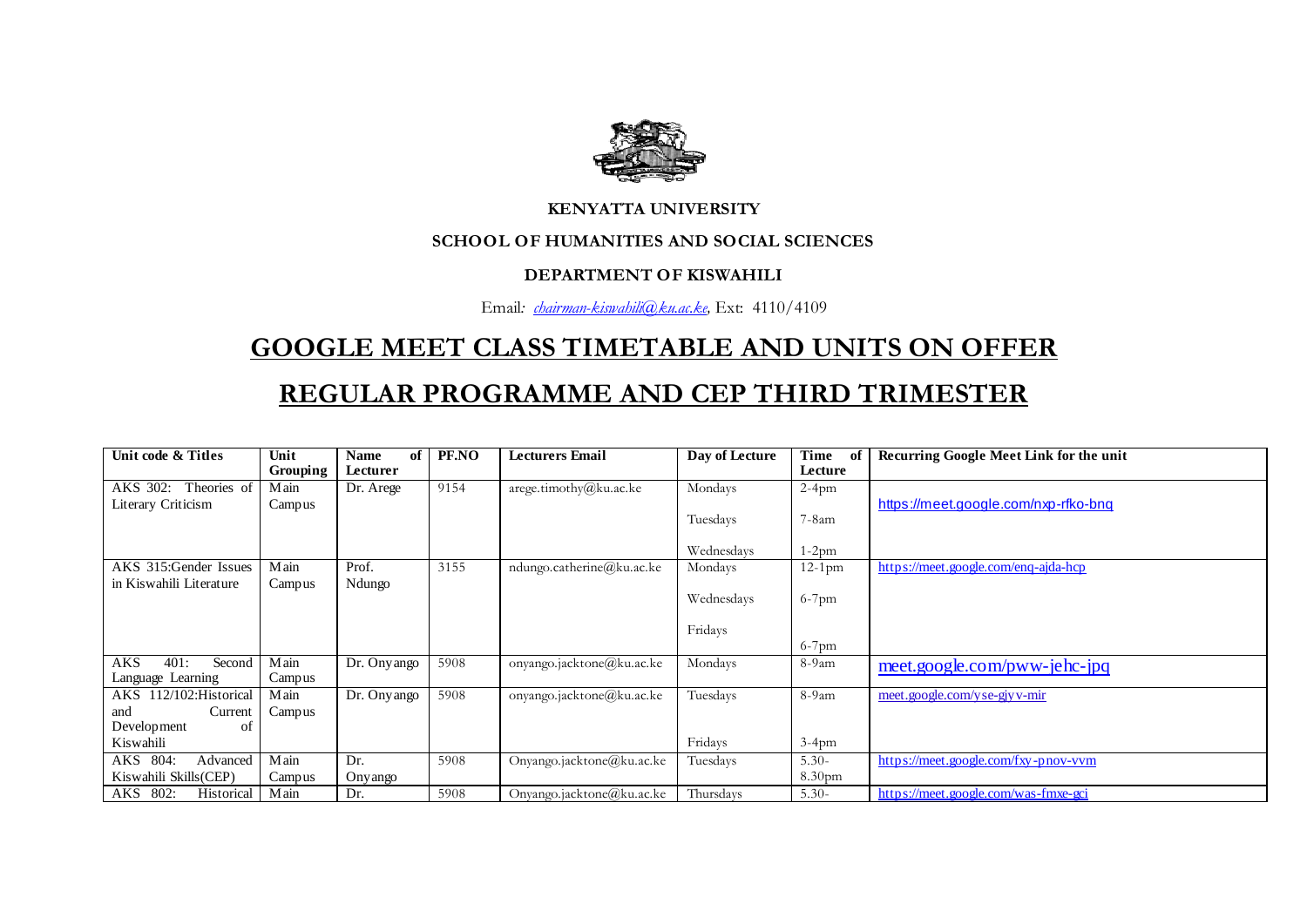

#### **KENYATTA UNIVERSITY**

### **SCHOOL OF HUMANITIES AND SOCIAL SCIENCES**

#### **DEPARTMENT OF KISWAHILI**

Email*: [chairman-kiswahili@ku.ac.ke,](mailto:chairman-kiswahili@ku.ac.ke)* Ext: 4110/4109

# **GOOGLE MEET CLASS TIMETABLE AND UNITS ON OFFER**

## **REGULAR PROGRAMME AND CEP THIRD TRIMESTER**

| Unit code & Titles           | Unit            | of<br><b>Name</b> | PF.NO | <b>Lecturers Email</b>    | Day of Lecture | Time<br>of | Recurring Google Meet Link for the unit |
|------------------------------|-----------------|-------------------|-------|---------------------------|----------------|------------|-----------------------------------------|
|                              | <b>Grouping</b> | Lecturer          |       |                           |                | Lecture    |                                         |
| Theories of<br>AKS 302:      | Main            | Dr. Arege         | 9154  | arege.timothy@ku.acke     | Mondays        | $2-4$ pm   |                                         |
| Literary Criticism           | Campus          |                   |       |                           |                |            | https://meet.google.com/nxp-rfko-bnq    |
|                              |                 |                   |       |                           | Tuesdays       | 7-8am      |                                         |
|                              |                 |                   |       |                           |                |            |                                         |
|                              |                 |                   |       |                           | Wednesdays     | 1-2pm      |                                         |
| AKS 315:Gender Issues        | Main            | Prof.             | 3155  | ndungo.catherine@ku.ac.ke | Mondays        | $12-1$ pm  | https://meet.google.com/eng-ajda-hcp    |
| in Kiswahili Literature      | Campus          | Ndungo            |       |                           |                |            |                                         |
|                              |                 |                   |       |                           | Wednesdays     | $6-7$ pm   |                                         |
|                              |                 |                   |       |                           |                |            |                                         |
|                              |                 |                   |       |                           | Fridays        |            |                                         |
|                              |                 |                   |       |                           |                | $6-7$ pm   |                                         |
| <b>AKS</b><br>401:<br>Second | Main            | Dr. Onyango       | 5908  | onyango.jacktone@ku.ac.ke | Mondays        | $8-9am$    | meet.google.com/pww-jehc-jpq            |
| Language Learning            | Campus          |                   |       |                           |                |            |                                         |
| AKS 112/102: Historical      | Main            | Dr. Ony ango      | 5908  | onyango.jacktone@ku.ac.ke | Tuesdays       | $8-9am$    | meet.google.com/yse-giy v-mir           |
| Current<br>and               | Campus          |                   |       |                           |                |            |                                         |
| Development<br>οt            |                 |                   |       |                           |                |            |                                         |
| Kiswahili                    |                 |                   |       |                           | Fridays        | $3-4$ pm   |                                         |
| AKS 804:<br>Advanced         | Main            | Dr.               | 5908  | Onyango.jacktone@ku.ac.ke | Tuesdays       | $5.30-$    | https://meet.google.com/fxy-pnov-vvm    |
| Kiswahili Skills(CEP)        | Campus          | Onyango           |       |                           |                | 8.30pm     |                                         |
| AKS 802:<br>Historical       | Main            | Dr.               | 5908  | Onyango.jacktone@ku.ac.ke | Thursdays      | $5.30-$    | https://meet.google.com/was-fmxe-gci    |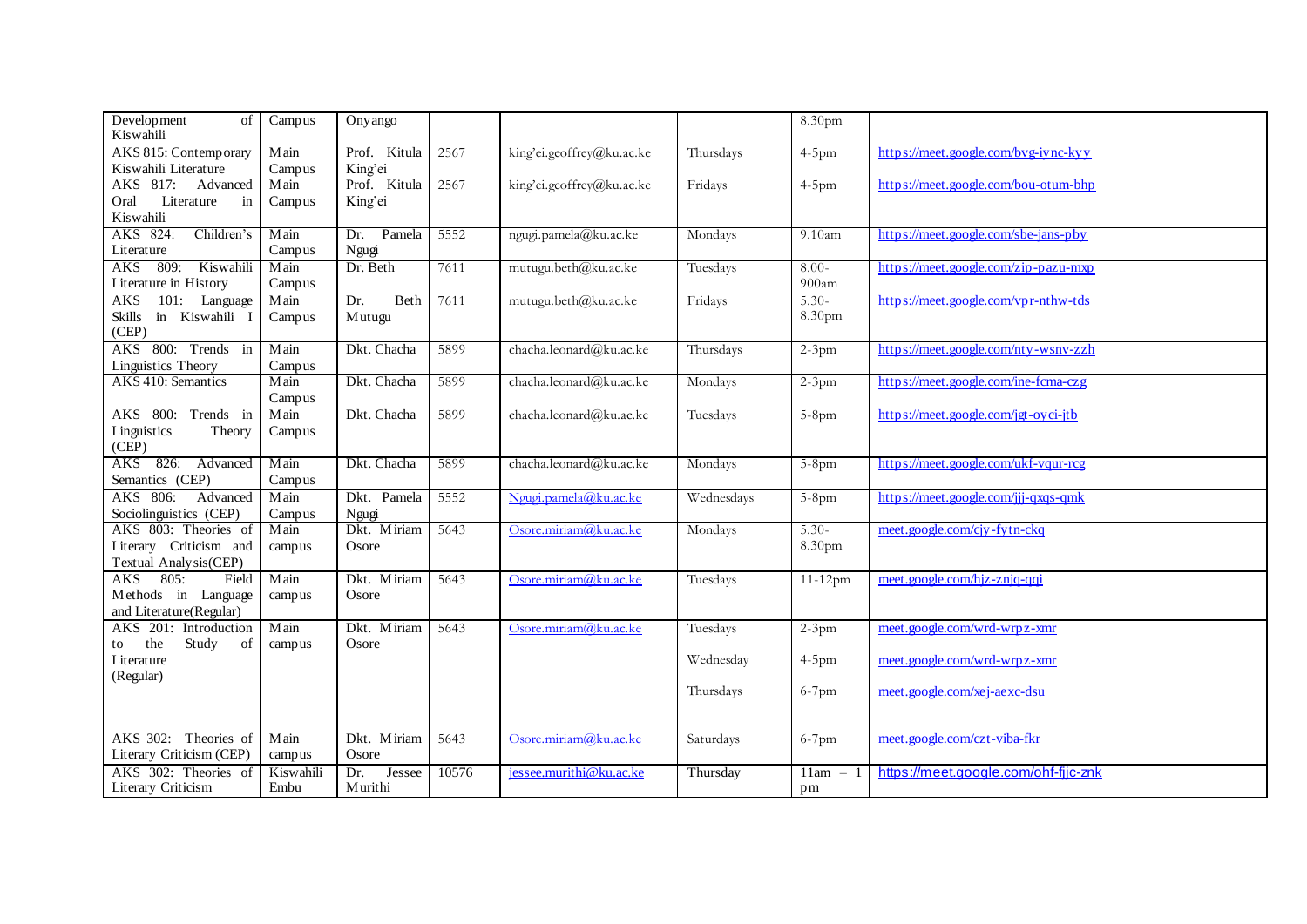| Development<br>of<br>Kiswahili                                                | Campus            | Onyango                  |       |                           |            | 8.30pm                        |                                      |
|-------------------------------------------------------------------------------|-------------------|--------------------------|-------|---------------------------|------------|-------------------------------|--------------------------------------|
| AKS 815: Contemporary<br>Kiswahili Literature                                 | Main<br>Campus    | Prof. Kitula<br>King'ei  | 2567  | king'ei.geoffrey@ku.ac.ke | Thursdays  | $4-5$ pm                      | https://meet.google.com/bvg-iync-kyy |
| AKS 817:<br>Advanced<br>Oral<br>Literature<br>in<br>Kiswahili                 | Main<br>Campus    | Prof. Kitula<br>King'ei  | 2567  | king'ei.geoffrey@ku.ac.ke | Fridays    | $4-5$ pm                      | https://meet.google.com/bou-otum-bhp |
| AKS 824:<br>Children's<br>Literature                                          | Main<br>Campus    | Pamela<br>Dr.<br>Ngugi   | 5552  | ngugi.pamela@ku.ac.ke     | Mondays    | 9.10am                        | https://meet.google.com/sbe-jans-pby |
| AKS 809: Kiswahili<br>Literature in History                                   | Main<br>Campus    | Dr. Beth                 | 7611  | mutugu.beth@ku.ac.ke      | Tuesdays   | $8.00-$<br>900am              | https://meet.google.com/zip-pazu-mxp |
| <b>AKS</b><br>101:<br>Language<br>in Kiswahili l<br>Skills<br>(CEP)           | Main<br>Campus    | Beth<br>Dr.<br>Mutugu    | 7611  | mutugu.beth@ku.ac.ke      | Fridays    | $5.30-$<br>8.30 <sub>pm</sub> | https://meet.google.com/vpr-nthw-tds |
| AKS 800: Trends in<br>Linguistics Theory                                      | Main<br>Campus    | Dkt. Chacha              | 5899  | chacha.leonard@ku.ac.ke   | Thursdays  | $2-3$ pm                      | https://meet.google.com/nty-wsnv-zzh |
| AKS 410: Semantics                                                            | Main<br>Campus    | Dkt. Chacha              | 5899  | chacha.leonard@ku.ac.ke   | Mondays    | $2-3$ pm                      | https://meet.google.com/ine-fcma-czg |
| AKS 800: Trends in<br>Linguistics<br>Theory<br>(CEP)                          | Main<br>Campus    | Dkt. Chacha              | 5899  | chacha.leonard@ku.ac.ke   | Tuesdays   | $5-8$ pm                      | https://meet.google.com/jgt-oyci-jtb |
| AKS 826: Advanced<br>Semantics (CEP)                                          | Main<br>Campus    | Dkt. Chacha              | 5899  | chacha.leonard@ku.ac.ke   | Mondays    | $5-8$ pm                      | https://meet.google.com/ukf-vqur-rcg |
| AKS 806:<br>Advanced<br>Sociolinguistics (CEP)                                | Main<br>Campus    | Dkt. Pamela<br>Ngugi     | 5552  | Ngugi.pamela@ku.ac.ke     | Wednesdays | $5-8$ pm                      | https://meet.google.com/jjj-qxqs-qmk |
| AKS 803: Theories of<br>Literary Criticism and<br>Textual Analysis(CEP)       | Main<br>campus    | Dkt. Miriam<br>Osore     | 5643  | Osore.miriam@ku.ac.ke     | Mondays    | $5.30-$<br>8.30pm             | meet.google.com/cjy-fytn-ckq         |
| 805:<br><b>AKS</b><br>Field<br>Methods in Language<br>and Literature(Regular) | Main<br>campus    | Dkt. Miriam<br>Osore     | 5643  | Osore.miriam@ku.ac.ke     | Tuesdays   | $11-12$ pm                    | meet.google.com/hjz-znjq-qqi         |
| AKS 201: Introduction<br>the<br>Study<br>of<br>to                             | Main<br>campus    | Dkt. Miriam<br>Osore     | 5643  | Osore.miriam@ku.ac.ke     | Tuesdays   | $2-3$ pm                      | meet.google.com/wrd-wrpz-xmr         |
| Literature<br>(Regular)                                                       |                   |                          |       |                           | Wednesday  | $4-5$ pm                      | meet.google.com/wrd-wrpz-xmr         |
|                                                                               |                   |                          |       |                           | Thursdays  | $6-7$ pm                      | meet.google.com/xej-aexc-dsu         |
| AKS 302: Theories of<br>Literary Criticism (CEP)                              | Main<br>campus    | Dkt. Miriam<br>Osore     | 5643  | Osore.miriam@ku.ac.ke     | Saturdays  | $6-7$ pm                      | meet.google.com/czt-viba-fkr         |
| AKS 302: Theories of<br>Literary Criticism                                    | Kiswahili<br>Embu | Dr.<br>Jessee<br>Murithi | 10576 | jessee.murithi@ku.ac.ke   | Thursday   | $11am - 1$<br>pm              | https://meet.google.com/ohf-fjjc-znk |